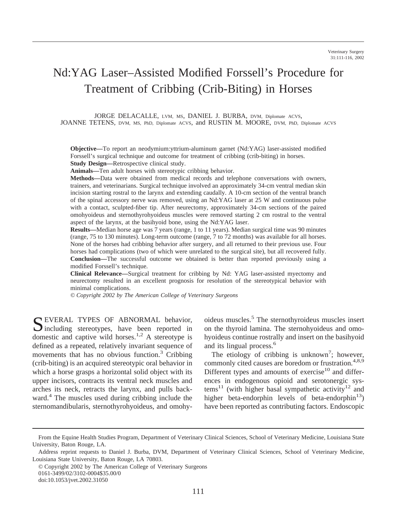# Nd:YAG Laser–Assisted Modified Forssell's Procedure for Treatment of Cribbing (Crib-Biting) in Horses

JORGE DELACALLE, LVM, MS, DANIEL J. BURBA, DVM, Diplomate ACVS, JOANNE TETENS, DVM, MS, PhD, Diplomate ACVS, and RUSTIN M. MOORE, DVM, PhD, Diplomate ACVS

**Objective—**To report an neodymium:yttrium-aluminum garnet (Nd:YAG) laser-assisted modified Forssell's surgical technique and outcome for treatment of cribbing (crib-biting) in horses. **Study Design—**Retrospective clinical study.

**Animals—**Ten adult horses with stereotypic cribbing behavior.

**Methods—**Data were obtained from medical records and telephone conversations with owners, trainers, and veterinarians. Surgical technique involved an approximately 34-cm ventral median skin incision starting rostral to the larynx and extending caudally. A 10-cm section of the ventral branch of the spinal accessory nerve was removed, using an Nd:YAG laser at 25 W and continuous pulse with a contact, sculpted-fiber tip. After neurectomy, approximately 34-cm sections of the paired omohyoideus and sternothyrohyoideus muscles were removed starting 2 cm rostral to the ventral aspect of the larynx, at the basihyoid bone, using the Nd:YAG laser.

**Results—**Median horse age was 7 years (range, 1 to 11 years). Median surgical time was 90 minutes (range, 75 to 130 minutes). Long-term outcome (range, 7 to 72 months) was available for all horses. None of the horses had cribbing behavior after surgery, and all returned to their previous use. Four horses had complications (two of which were unrelated to the surgical site), but all recovered fully. **Conclusion—**The successful outcome we obtained is better than reported previously using a modified Forssell's technique.

**Clinical Relevance—**Surgical treatment for cribbing by Nd: YAG laser-assisted myectomy and neurectomy resulted in an excellent prognosis for resolution of the stereotypical behavior with minimal complications.

*© Copyright 2002 by The American College of Veterinary Surgeons*

SEVERAL TYPES OF ABNORMAL behavior,<br>including stereotypes, have been reported in domestic and captive wild horses.<sup>1,2</sup> A stereotype is defined as a repeated, relatively invariant sequence of movements that has no obvious function. $3$  Cribbing (crib-biting) is an acquired stereotypic oral behavior in which a horse grasps a horizontal solid object with its upper incisors, contracts its ventral neck muscles and arches its neck, retracts the larynx, and pulls backward.<sup>4</sup> The muscles used during cribbing include the sternomandibularis, sternothyrohyoideus, and omohyoideus muscles.5 The sternothyroideus muscles insert on the thyroid lamina. The sternohyoideus and omohyoideus continue rostrally and insert on the basihyoid and its lingual process.6

The etiology of cribbing is unknown<sup>7</sup>; however, commonly cited causes are boredom or frustration.<sup>4,8,9</sup> Different types and amounts of exercise $10$  and differences in endogenous opioid and serotonergic sys $tems<sup>11</sup>$  (with higher basal sympathetic activity<sup>12</sup> and higher beta-endorphin levels of beta-endorphin $^{13}$ ) have been reported as contributing factors. Endoscopic

From the Equine Health Studies Program, Department of Veterinary Clinical Sciences, School of Veterinary Medicine, Louisiana State University, Baton Rouge, LA.

Address reprint requests to Daniel J. Burba, DVM, Department of Veterinary Clinical Sciences, School of Veterinary Medicine, Louisiana State University, Baton Rouge, LA 70803.

<sup>©</sup> Copyright 2002 by The American College of Veterinary Surgeons 0161-3499/02/3102-0004\$35.00/0 doi:10.1053/jvet.2002.31050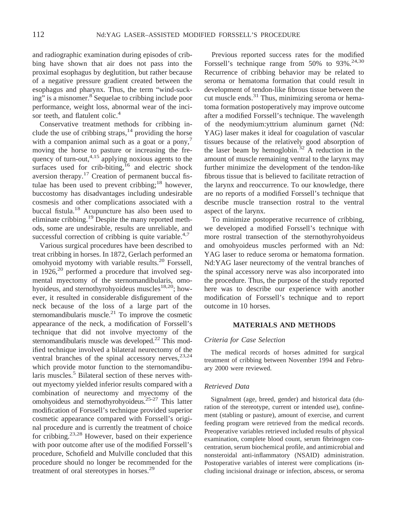and radiographic examination during episodes of cribbing have shown that air does not pass into the proximal esophagus by deglutition, but rather because of a negative pressure gradient created between the esophagus and pharynx. Thus, the term "wind-sucking" is a misnomer.<sup>8</sup> Sequelae to cribbing include poor performance, weight loss, abnormal wear of the incisor teeth, and flatulent colic.<sup>4</sup>

Conservative treatment methods for cribbing include the use of cribbing straps,<sup>14</sup> providing the horse with a companion animal such as a goat or a pony, $\frac{7}{2}$ moving the horse to pasture or increasing the frequency of turn-out, $4.15$  applying noxious agents to the surfaces used for crib-biting, $16$  and electric shock aversion therapy.17 Creation of permanent buccal fistulae has been used to prevent cribbing;<sup>18</sup> however, buccostomy has disadvantages including undesirable cosmesis and other complications associated with a buccal fistula.18 Acupuncture has also been used to eliminate cribbing.19 Despite the many reported methods, some are undesirable, results are unreliable, and successful correction of cribbing is quite variable.<sup>4,7</sup>

Various surgical procedures have been described to treat cribbing in horses. In 1872, Gerlach performed an omohyoid myotomy with variable results.20 Forssell, in  $1926$ ,<sup>20</sup> performed a procedure that involved segmental myectomy of the sternomandibularis, omohyoideus, and sternothyrohyoideus muscles<sup>18,20</sup>; however, it resulted in considerable disfigurement of the neck because of the loss of a large part of the sternomandibularis muscle.<sup>21</sup> To improve the cosmetic appearance of the neck, a modification of Forssell's technique that did not involve myectomy of the sternomandibularis muscle was developed.<sup>22</sup> This modified technique involved a bilateral neurectomy of the ventral branches of the spinal accessory nerves,  $23,24$ which provide motor function to the sternomandibularis muscles.<sup>5</sup> Bilateral section of these nerves without myectomy yielded inferior results compared with a combination of neurectomy and myectomy of the omohyoideus and sternothyrohyoideus.25-27 This latter modification of Forssell's technique provided superior cosmetic appearance compared with Forssell's original procedure and is currently the treatment of choice for cribbing.23,28 However, based on their experience with poor outcome after use of the modified Forssell's procedure, Schofield and Mulville concluded that this procedure should no longer be recommended for the treatment of oral stereotypes in horses.<sup>29</sup>

Previous reported success rates for the modified Forssell's technique range from  $50\%$  to  $93\%$ .<sup>24,30</sup> Recurrence of cribbing behavior may be related to seroma or hematoma formation that could result in development of tendon-like fibrous tissue between the cut muscle ends. $31$  Thus, minimizing seroma or hematoma formation postoperatively may improve outcome after a modified Forssell's technique. The wavelength of the neodymium:yttrium aluminum garnet (Nd: YAG) laser makes it ideal for coagulation of vascular tissues because of the relatively good absorption of the laser beam by hemoglobin.<sup>32</sup> A reduction in the amount of muscle remaining ventral to the larynx may further minimize the development of the tendon-like fibrous tissue that is believed to facilitate retraction of the larynx and reoccurrence. To our knowledge, there are no reports of a modified Forssell's technique that describe muscle transection rostral to the ventral aspect of the larynx.

To minimize postoperative recurrence of cribbing, we developed a modified Forssell's technique with more rostral transection of the sternothyrohyoideus and omohyoideus muscles performed with an Nd: YAG laser to reduce seroma or hematoma formation. Nd:YAG laser neurectomy of the ventral branches of the spinal accessory nerve was also incorporated into the procedure. Thus, the purpose of the study reported here was to describe our experience with another modification of Forssell's technique and to report outcome in 10 horses.

#### **MATERIALS AND METHODS**

#### *Criteria for Case Selection*

The medical records of horses admitted for surgical treatment of cribbing between November 1994 and February 2000 were reviewed.

#### *Retrieved Data*

Signalment (age, breed, gender) and historical data (duration of the stereotype, current or intended use), confinement (stabling or pasture), amount of exercise, and current feeding program were retrieved from the medical records. Preoperative variables retrieved included results of physical examination, complete blood count, serum fibrinogen concentration, serum biochemical profile, and antimicrobial and nonsteroidal anti-inflammatory (NSAID) administration. Postoperative variables of interest were complications (including incisional drainage or infection, abscess, or seroma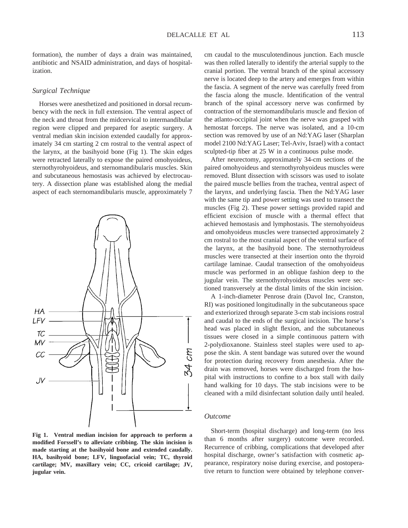formation), the number of days a drain was maintained, antibiotic and NSAID administration, and days of hospitalization.

#### *Surgical Technique*

Horses were anesthetized and positioned in dorsal recumbency with the neck in full extension. The ventral aspect of the neck and throat from the midcervical to intermandibular region were clipped and prepared for aseptic surgery. A ventral median skin incision extended caudally for approximately 34 cm starting 2 cm rostral to the ventral aspect of the larynx, at the basihyoid bone (Fig 1). The skin edges were retracted laterally to expose the paired omohyoideus, sternothyrohyoideus, and sternomandibularis muscles. Skin and subcutaneous hemostasis was achieved by electrocautery. A dissection plane was established along the medial aspect of each sternomandibularis muscle, approximately 7



**Fig 1. Ventral median incision for approach to perform a modified Forssell's to alleviate cribbing. The skin incision is made starting at the basihyoid bone and extended caudally. HA, basihyoid bone; LFV, linguofacial vein; TC, thyroid cartilage; MV, maxillary vein; CC, cricoid cartilage; JV, jugular vein.**

cm caudal to the musculotendinous junction. Each muscle was then rolled laterally to identify the arterial supply to the cranial portion. The ventral branch of the spinal accessory nerve is located deep to the artery and emerges from within the fascia. A segment of the nerve was carefully freed from the fascia along the muscle. Identification of the ventral branch of the spinal accessory nerve was confirmed by contraction of the sternomandibularis muscle and flexion of the atlanto-occipital joint when the nerve was grasped with hemostat forceps. The nerve was isolated, and a 10-cm section was removed by use of an Nd:YAG laser (Sharplan model 2100 Nd:YAG Laser; Tel-Aviv, Israel) with a contact sculpted-tip fiber at 25 W in a continuous pulse mode.

After neurectomy, approximately 34-cm sections of the paired omohyoideus and sternothyrohyoideus muscles were removed. Blunt dissection with scissors was used to isolate the paired muscle bellies from the trachea, ventral aspect of the larynx, and underlying fascia. Then the Nd:YAG laser with the same tip and power setting was used to transect the muscles (Fig 2). These power settings provided rapid and efficient excision of muscle with a thermal effect that achieved hemostasis and lymphostasis. The sternohyoideus and omohyoideus muscles were transected approximately 2 cm rostral to the most cranial aspect of the ventral surface of the larynx, at the basihyoid bone. The sternothyroideus muscles were transected at their insertion onto the thyroid cartilage laminae. Caudal transection of the omohyoideus muscle was performed in an oblique fashion deep to the jugular vein. The sternothyrohyoideus muscles were sectioned transversely at the distal limits of the skin incision.

A 1-inch-diameter Penrose drain (Davol Inc, Cranston, RI) was positioned longitudinally in the subcutaneous space and exteriorized through separate 3-cm stab incisions rostral and caudal to the ends of the surgical incision. The horse's head was placed in slight flexion, and the subcutaneous tissues were closed in a simple continuous pattern with 2-polydioxanone. Stainless steel staples were used to appose the skin. A stent bandage was sutured over the wound for protection during recovery from anesthesia. After the drain was removed, horses were discharged from the hospital with instructions to confine to a box stall with daily hand walking for 10 days. The stab incisions were to be cleaned with a mild disinfectant solution daily until healed.

### *Outcome*

Short-term (hospital discharge) and long-term (no less than 6 months after surgery) outcome were recorded. Recurrence of cribbing, complications that developed after hospital discharge, owner's satisfaction with cosmetic appearance, respiratory noise during exercise, and postoperative return to function were obtained by telephone conver-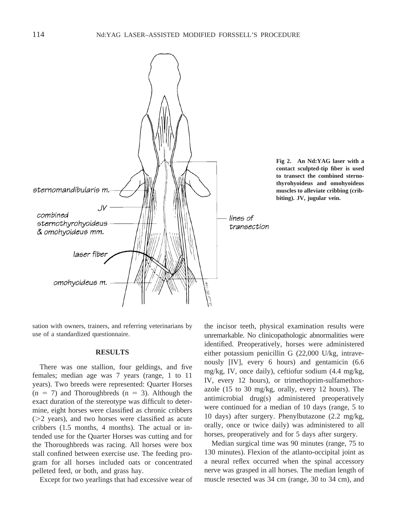

**Fig 2. An Nd:YAG laser with a contact sculpted-tip fiber is used to transect the combined sternothyrohyoideus and omohyoideus muscles to alleviate cribbing (cribbiting). JV, jugular vein.**

sation with owners, trainers, and referring veterinarians by use of a standardized questionnaire.

# **RESULTS**

There was one stallion, four geldings, and five females; median age was 7 years (range, 1 to 11 years). Two breeds were represented: Quarter Horses  $(n = 7)$  and Thoroughbreds  $(n = 3)$ . Although the exact duration of the stereotype was difficult to determine, eight horses were classified as chronic cribbers  $(>= 2$  years), and two horses were classified as acute cribbers (1.5 months, 4 months). The actual or intended use for the Quarter Horses was cutting and for the Thoroughbreds was racing. All horses were box stall confined between exercise use. The feeding program for all horses included oats or concentrated pelleted feed, or both, and grass hay.

Except for two yearlings that had excessive wear of

the incisor teeth, physical examination results were unremarkable. No clinicopathologic abnormalities were identified. Preoperatively, horses were administered either potassium penicillin G (22,000 U/kg, intravenously [IV], every 6 hours) and gentamicin (6.6 mg/kg, IV, once daily), ceftiofur sodium (4.4 mg/kg, IV, every 12 hours), or trimethoprim-sulfamethoxazole (15 to 30 mg/kg, orally, every 12 hours). The antimicrobial drug(s) administered preoperatively were continued for a median of 10 days (range, 5 to 10 days) after surgery. Phenylbutazone (2.2 mg/kg, orally, once or twice daily) was administered to all horses, preoperatively and for 5 days after surgery.

Median surgical time was 90 minutes (range, 75 to 130 minutes). Flexion of the atlanto-occipital joint as a neural reflex occurred when the spinal accessory nerve was grasped in all horses. The median length of muscle resected was 34 cm (range, 30 to 34 cm), and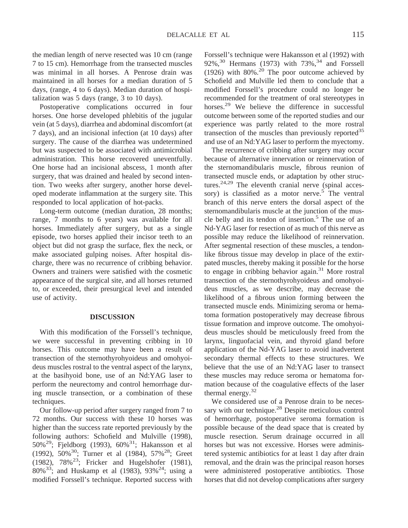the median length of nerve resected was 10 cm (range 7 to 15 cm). Hemorrhage from the transected muscles was minimal in all horses. A Penrose drain was maintained in all horses for a median duration of 5 days, (range, 4 to 6 days). Median duration of hospitalization was 5 days (range, 3 to 10 days).

Postoperative complications occurred in four horses. One horse developed phlebitis of the jugular vein (at 5 days), diarrhea and abdominal discomfort (at 7 days), and an incisional infection (at 10 days) after surgery. The cause of the diarrhea was undetermined but was suspected to be associated with antimicrobial administration. This horse recovered uneventfully. One horse had an incisional abscess, 1 month after surgery, that was drained and healed by second intention. Two weeks after surgery, another horse developed moderate inflammation at the surgery site. This responded to local application of hot-packs.

Long-term outcome (median duration, 28 months; range, 7 months to 6 years) was available for all horses. Immediately after surgery, but as a single episode, two horses applied their incisor teeth to an object but did not grasp the surface, flex the neck, or make associated gulping noises. After hospital discharge, there was no recurrence of cribbing behavior. Owners and trainers were satisfied with the cosmetic appearance of the surgical site, and all horses returned to, or exceeded, their presurgical level and intended use of activity.

## **DISCUSSION**

With this modification of the Forssell's technique, we were successful in preventing cribbing in 10 horses. This outcome may have been a result of transection of the sternothyrohyoideus and omohyoideus muscles rostral to the ventral aspect of the larynx, at the basihyoid bone, use of an Nd:YAG laser to perform the neurectomy and control hemorrhage during muscle transection, or a combination of these techniques.

Our follow-up period after surgery ranged from 7 to 72 months. Our success with these 10 horses was higher than the success rate reported previously by the following authors: Schofield and Mulville (1998), 50%29; Fjeldborg (1993), 60%31; Hakansson et al (1992),  $50\%^{30}$ ; Turner et al (1984),  $57\%^{28}$ ; Greet (1982),  $78\%^{23}$ ; Fricker and Hugelshofer (1981), 80%<sup>33</sup>; and Huskamp et al (1983), 93%<sup>24</sup>; using a modified Forssell's technique. Reported success with

Forssell's technique were Hakansson et al (1992) with 92%, $30$  Hermans (1973) with 73%, $34$  and Forssell (1926) with  $80\%$ <sup>20</sup> The poor outcome achieved by Schofield and Mulville led them to conclude that a modified Forssell's procedure could no longer be recommended for the treatment of oral stereotypes in horses.<sup>29</sup> We believe the difference in successful outcome between some of the reported studies and our experience was partly related to the more rostral transection of the muscles than previously reported $35$ and use of an Nd:YAG laser to perform the myectomy.

The recurrence of cribbing after surgery may occur because of alternative innervation or reinnervation of the sternomandibularis muscle, fibrous reunion of transected muscle ends, or adaptation by other structures.<sup>24,29</sup> The eleventh cranial nerve (spinal accessory) is classified as a motor nerve.<sup>5</sup> The ventral branch of this nerve enters the dorsal aspect of the sternomandibularis muscle at the junction of the muscle belly and its tendon of insertion.<sup>5</sup> The use of an Nd-YAG laser for resection of as much of this nerve as possible may reduce the likelihood of reinnervation. After segmental resection of these muscles, a tendonlike fibrous tissue may develop in place of the extirpated muscles, thereby making it possible for the horse to engage in cribbing behavior again. $31$  More rostral transection of the sternothyrohyoideus and omohyoideus muscles, as we describe, may decrease the likelihood of a fibrous union forming between the transected muscle ends. Minimizing seroma or hematoma formation postoperatively may decrease fibrous tissue formation and improve outcome. The omohyoideus muscles should be meticulously freed from the larynx, linguofacial vein, and thyroid gland before application of the Nd-YAG laser to avoid inadvertent secondary thermal effects to these structures. We believe that the use of an Nd:YAG laser to transect these muscles may reduce seroma or hematoma formation because of the coagulative effects of the laser thermal energy.32

We considered use of a Penrose drain to be necessary with our technique.<sup>28</sup> Despite meticulous control of hemorrhage, postoperative seroma formation is possible because of the dead space that is created by muscle resection. Serum drainage occurred in all horses but was not excessive. Horses were administered systemic antibiotics for at least 1 day after drain removal, and the drain was the principal reason horses were administered postoperative antibiotics. Those horses that did not develop complications after surgery